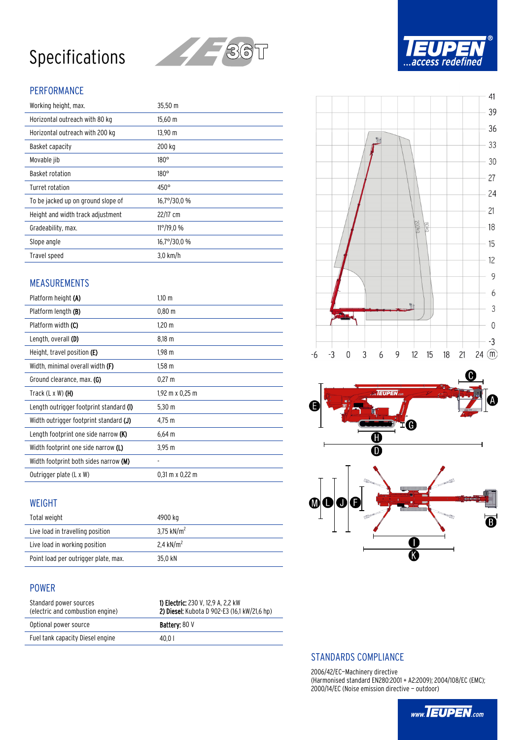# Specifications



## PERFORMANCE

| Working height, max.               | 35,50 m              |
|------------------------------------|----------------------|
| Horizontal outreach with 80 kg     | 15,60 m              |
| Horizontal outreach with 200 kg    | $13,90 \; \text{m}$  |
| Basket capacity                    | 200 kg               |
| Movable jib                        | $180^\circ$          |
| Basket rotation                    | $180^\circ$          |
| Turret rotation                    | $450^\circ$          |
| To be jacked up on ground slope of | $16,7^{\circ}/30,0%$ |
| Height and width track adjustment  | 22/17 cm             |
| Gradeability, max.                 | $11^{\circ}/19.0$ %  |
| Slope angle                        | 16,7°/30,0 %         |
| Travel speed                       | $3.0$ km/h           |

## MEASUREMENTS

| Platform height (A)                         | $1.10 \; \mathrm{m}$ |
|---------------------------------------------|----------------------|
| Platform length (B)                         | 0.80 m               |
| Platform width (C)                          | $1,20 \; m$          |
| Length, overall (D)                         | $8,18 \; m$          |
| Height, travel position (E)                 | $1,98 \; m$          |
| Width, minimal overall width <b>(F)</b>     | $1,58 \; m$          |
| Ground clearance, max. (G)                  | $0.27 \text{ m}$     |
| Track (L x W) <b>(H)</b>                    | 1,92 m x 0,25 m      |
| Length outrigger footprint standard (I)     | $5,30 \; m$          |
|                                             |                      |
| Width outrigger footprint standard (J)      | 4,75 m               |
| Length footprint one side narrow <b>(K)</b> | $6,64 \, m$          |
| Width footprint one side narrow <b>(L)</b>  | $3,95 \; m$          |
| Width footprint both sides narrow (M)       |                      |

#### WEIGHT

| Total weight                         | 4900 kg                |
|--------------------------------------|------------------------|
| Live load in travelling position     | 3,75 kN/m <sup>2</sup> |
| Live load in working position        | 2.4 kN/m <sup>2</sup>  |
| Point load per outrigger plate, max. | 35.0 kN                |

#### POWER

| Standard power sources<br>(electric and combustion engine) | <b>1) Electric:</b> 230 V. 12.9 A. 2.2 kW<br>2) Diesel: Kubota D 902-E3 (16,1 kW/21,6 hp) |
|------------------------------------------------------------|-------------------------------------------------------------------------------------------|
| Optional power source                                      | Battery: 80 V                                                                             |
| Fuel tank capacity Diesel engine                           | 40.01                                                                                     |





#### STANDARDS COMPLIANCE

2006/42/EC—Machinery directive (Harmonised standard EN280:2001 + A2:2009); 2004/108/EC (EMC); 2000/14/EC (Noise emission directive — outdoor)